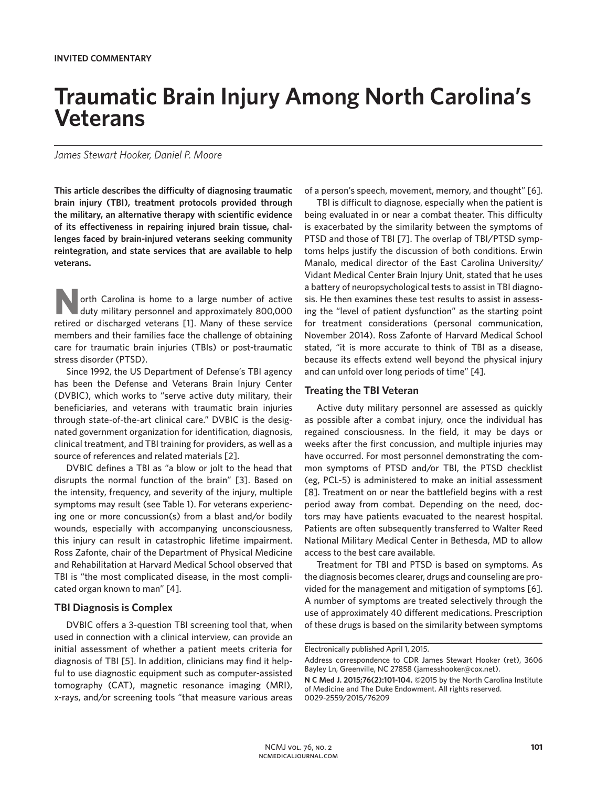# **Traumatic Brain Injury Among North Carolina's Veterans**

*James Stewart Hooker, Daniel P. Moore*

**This article describes the difficulty of diagnosing traumatic brain injury (TBI), treatment protocols provided through the military, an alternative therapy with scientific evidence of its effectiveness in repairing injured brain tissue, challenges faced by brain-injured veterans seeking community reintegration, and state services that are available to help veterans.**

**North Carolina is home to a large number of active duty military personnel and approximately 800,000** retired or discharged veterans [1]. Many of these service members and their families face the challenge of obtaining care for traumatic brain injuries (TBIs) or post-traumatic stress disorder (PTSD).

Since 1992, the US Department of Defense's TBI agency has been the Defense and Veterans Brain Injury Center (DVBIC), which works to "serve active duty military, their beneficiaries, and veterans with traumatic brain injuries through state-of-the-art clinical care." DVBIC is the designated government organization for identification, diagnosis, clinical treatment, and TBI training for providers, as well as a source of references and related materials [2].

DVBIC defines a TBI as "a blow or jolt to the head that disrupts the normal function of the brain" [3]. Based on the intensity, frequency, and severity of the injury, multiple symptoms may result (see Table 1). For veterans experiencing one or more concussion(s) from a blast and/or bodily wounds, especially with accompanying unconsciousness, this injury can result in catastrophic lifetime impairment. Ross Zafonte, chair of the Department of Physical Medicine and Rehabilitation at Harvard Medical School observed that TBI is "the most complicated disease, in the most complicated organ known to man" [4].

## **TBI Diagnosis is Complex**

DVBIC offers a 3-question TBI screening tool that, when used in connection with a clinical interview, can provide an initial assessment of whether a patient meets criteria for diagnosis of TBI [5]. In addition, clinicians may find it helpful to use diagnostic equipment such as computer-assisted tomography (CAT), magnetic resonance imaging (MRI), x-rays, and/or screening tools "that measure various areas of a person's speech, movement, memory, and thought" [6].

TBI is difficult to diagnose, especially when the patient is being evaluated in or near a combat theater. This difficulty is exacerbated by the similarity between the symptoms of PTSD and those of TBI [7]. The overlap of TBI/PTSD symptoms helps justify the discussion of both conditions. Erwin Manalo, medical director of the East Carolina University/ Vidant Medical Center Brain Injury Unit, stated that he uses a battery of neuropsychological tests to assist in TBI diagnosis. He then examines these test results to assist in assessing the "level of patient dysfunction" as the starting point for treatment considerations (personal communication, November 2014). Ross Zafonte of Harvard Medical School stated, "it is more accurate to think of TBI as a disease, because its effects extend well beyond the physical injury and can unfold over long periods of time" [4].

### **Treating the TBI Veteran**

Active duty military personnel are assessed as quickly as possible after a combat injury, once the individual has regained consciousness. In the field, it may be days or weeks after the first concussion, and multiple injuries may have occurred. For most personnel demonstrating the common symptoms of PTSD and/or TBI, the PTSD checklist (eg, PCL-5) is administered to make an initial assessment [8]. Treatment on or near the battlefield begins with a rest period away from combat. Depending on the need, doctors may have patients evacuated to the nearest hospital. Patients are often subsequently transferred to Walter Reed National Military Medical Center in Bethesda, MD to allow access to the best care available.

Treatment for TBI and PTSD is based on symptoms. As the diagnosis becomes clearer, drugs and counseling are provided for the management and mitigation of symptoms [6]. A number of symptoms are treated selectively through the use of approximately 40 different medications. Prescription of these drugs is based on the similarity between symptoms

Electronically published April 1, 2015.

Address correspondence to CDR James Stewart Hooker (ret), 3606 Bayley Ln, Greenville, NC 27858 (jamesshooker@cox.net).

**N C Med J. 2015;76(2):101-104.** ©2015 by the North Carolina Institute of Medicine and The Duke Endowment. All rights reserved. 0029-2559/2015/76209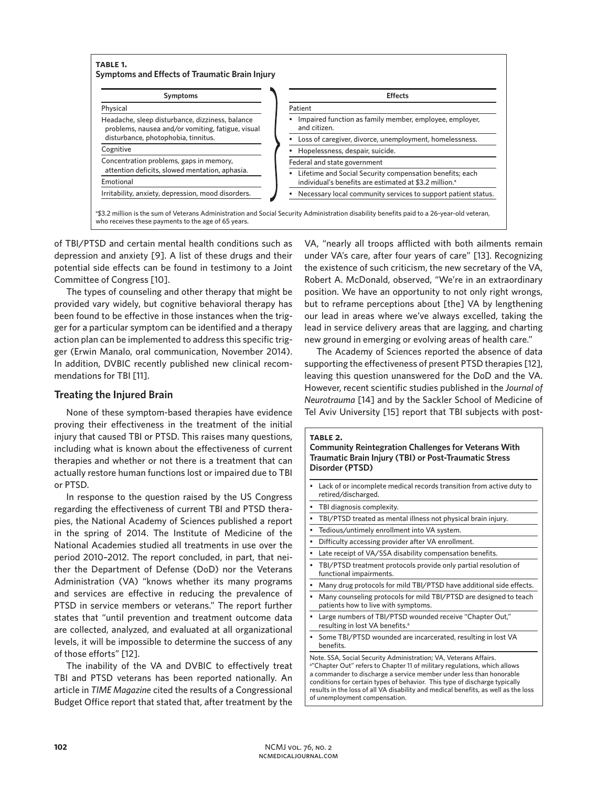

of TBI/PTSD and certain mental health conditions such as depression and anxiety [9]. A list of these drugs and their potential side effects can be found in testimony to a Joint Committee of Congress [10].

The types of counseling and other therapy that might be provided vary widely, but cognitive behavioral therapy has been found to be effective in those instances when the trigger for a particular symptom can be identified and a therapy action plan can be implemented to address this specific trigger (Erwin Manalo, oral communication, November 2014). In addition, DVBIC recently published new clinical recommendations for TBI [11].

# **Treating the Injured Brain**

None of these symptom-based therapies have evidence proving their effectiveness in the treatment of the initial injury that caused TBI or PTSD. This raises many questions, including what is known about the effectiveness of current therapies and whether or not there is a treatment that can actually restore human functions lost or impaired due to TBI or PTSD.

In response to the question raised by the US Congress regarding the effectiveness of current TBI and PTSD therapies, the National Academy of Sciences published a report in the spring of 2014. The Institute of Medicine of the National Academies studied all treatments in use over the period 2010–2012. The report concluded, in part, that neither the Department of Defense (DoD) nor the Veterans Administration (VA) "knows whether its many programs and services are effective in reducing the prevalence of PTSD in service members or veterans." The report further states that "until prevention and treatment outcome data are collected, analyzed, and evaluated at all organizational levels, it will be impossible to determine the success of any of those efforts" [12].

The inability of the VA and DVBIC to effectively treat TBI and PTSD veterans has been reported nationally. An article in *TIME Magazine* cited the results of a Congressional Budget Office report that stated that, after treatment by the VA, "nearly all troops afflicted with both ailments remain under VA's care, after four years of care" [13]. Recognizing the existence of such criticism, the new secretary of the VA, Robert A. McDonald, observed, "We're in an extraordinary position. We have an opportunity to not only right wrongs, but to reframe perceptions about [the] VA by lengthening our lead in areas where we've always excelled, taking the lead in service delivery areas that are lagging, and charting new ground in emerging or evolving areas of health care."

The Academy of Sciences reported the absence of data supporting the effectiveness of present PTSD therapies [12], leaving this question unanswered for the DoD and the VA. However, recent scientific studies published in the *Journal of Neurotrauma* [14] and by the Sackler School of Medicine of Tel Aviv University [15] report that TBI subjects with post-

## **table 2. Community Reintegration Challenges for Veterans With Traumatic Brain Injury (TBI) or Post-Traumatic Stress Disorder (PTSD)**

- Lack of or incomplete medical records transition from active duty to retired/discharged.
- TBI diagnosis complexity.
- TBI/PTSD treated as mental illness not physical brain injury.
- Tedious/untimely enrollment into VA system.
- Difficulty accessing provider after VA enrollment.
- Late receipt of VA/SSA disability compensation benefits.
- TBI/PTSD treatment protocols provide only partial resolution of functional impairments.
- Many drug protocols for mild TBI/PTSD have additional side effects.
- Many counseling protocols for mild TBI/PTSD are designed to teach patients how to live with symptoms.
- Large numbers of TBI/PTSD wounded receive "Chapter Out," resulting in lost VA benefits.<sup>a</sup>
- Some TBI/PTSD wounded are incarcerated, resulting in lost VA benefits.

Note. SSA, Social Security Administration; VA, Veterans Affairs. a"Chapter Out" refers to Chapter 11 of military regulations, which allows a commander to discharge a service member under less than honorable conditions for certain types of behavior. This type of discharge typically results in the loss of all VA disability and medical benefits, as well as the loss of unemployment compensation.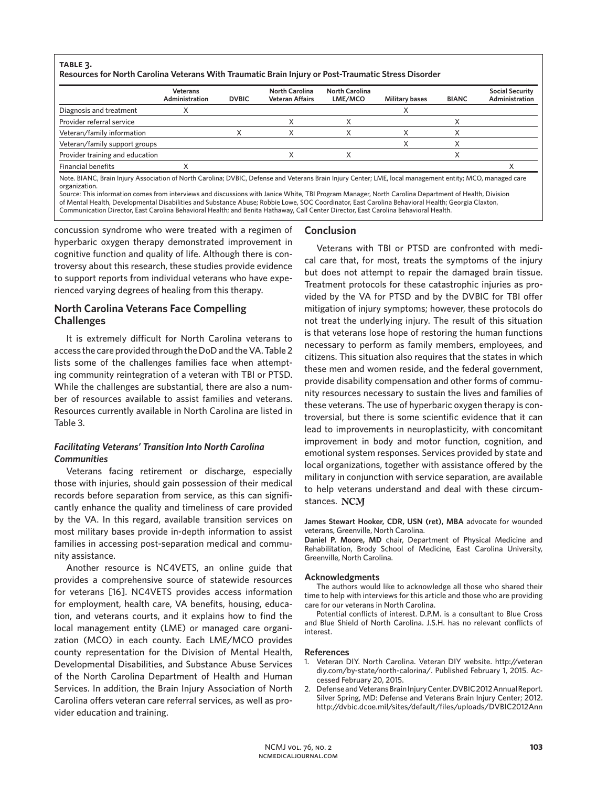## **table 3. Resources for North Carolina Veterans With Traumatic Brain Injury or Post-Traumatic Stress Disorder**

|                                 | <b>Veterans</b><br>Administration | <b>DVBIC</b> | North Carolina<br>Veteran Affairs | North Carolina<br>LME/MCO | <b>Military bases</b> | <b>BIANC</b> | <b>Social Security</b><br>Administration |
|---------------------------------|-----------------------------------|--------------|-----------------------------------|---------------------------|-----------------------|--------------|------------------------------------------|
| Diagnosis and treatment         |                                   |              |                                   |                           |                       |              |                                          |
| Provider referral service       |                                   |              |                                   |                           |                       |              |                                          |
| Veteran/family information      |                                   |              |                                   |                           |                       |              |                                          |
| Veteran/family support groups   |                                   |              |                                   |                           |                       |              |                                          |
| Provider training and education |                                   |              |                                   |                           |                       |              |                                          |
| <b>Financial benefits</b>       |                                   |              |                                   |                           |                       |              |                                          |

organization. Source: This information comes from interviews and discussions with Janice White, TBI Program Manager, North Carolina Department of Health, Division

of Mental Health, Developmental Disabilities and Substance Abuse; Robbie Lowe, SOC Coordinator, East Carolina Behavioral Health; Georgia Claxton, Communication Director, East Carolina Behavioral Health; and Benita Hathaway, Call Center Director, East Carolina Behavioral Health.

concussion syndrome who were treated with a regimen of hyperbaric oxygen therapy demonstrated improvement in cognitive function and quality of life. Although there is controversy about this research, these studies provide evidence to support reports from individual veterans who have experienced varying degrees of healing from this therapy.

# **North Carolina Veterans Face Compelling Challenges**

It is extremely difficult for North Carolina veterans to access the care provided through the DoD and the VA. Table 2 lists some of the challenges families face when attempting community reintegration of a veteran with TBI or PTSD. While the challenges are substantial, there are also a number of resources available to assist families and veterans. Resources currently available in North Carolina are listed in Table 3.

# *Facilitating Veterans' Transition Into North Carolina Communities*

Veterans facing retirement or discharge, especially those with injuries, should gain possession of their medical records before separation from service, as this can significantly enhance the quality and timeliness of care provided by the VA. In this regard, available transition services on most military bases provide in-depth information to assist families in accessing post-separation medical and community assistance.

Another resource is NC4VETS, an online guide that provides a comprehensive source of statewide resources for veterans [16]. NC4VETS provides access information for employment, health care, VA benefits, housing, education, and veterans courts, and it explains how to find the local management entity (LME) or managed care organization (MCO) in each county. Each LME/MCO provides county representation for the Division of Mental Health, Developmental Disabilities, and Substance Abuse Services of the North Carolina Department of Health and Human Services. In addition, the Brain Injury Association of North Carolina offers veteran care referral services, as well as provider education and training.

## **Conclusion**

Veterans with TBI or PTSD are confronted with medical care that, for most, treats the symptoms of the injury but does not attempt to repair the damaged brain tissue. Treatment protocols for these catastrophic injuries as provided by the VA for PTSD and by the DVBIC for TBI offer mitigation of injury symptoms; however, these protocols do not treat the underlying injury. The result of this situation is that veterans lose hope of restoring the human functions necessary to perform as family members, employees, and citizens. This situation also requires that the states in which these men and women reside, and the federal government, provide disability compensation and other forms of community resources necessary to sustain the lives and families of these veterans. The use of hyperbaric oxygen therapy is controversial, but there is some scientific evidence that it can lead to improvements in neuroplasticity, with concomitant improvement in body and motor function, cognition, and emotional system responses. Services provided by state and local organizations, together with assistance offered by the military in conjunction with service separation, are available to help veterans understand and deal with these circumstances. NCM

**James Stewart Hooker, CDR, USN (ret), MBA** advocate for wounded veterans, Greenville, North Carolina.

**Daniel P. Moore, MD** chair, Department of Physical Medicine and Rehabilitation, Brody School of Medicine, East Carolina University, Greenville, North Carolina.

#### **Acknowledgments**

The authors would like to acknowledge all those who shared their time to help with interviews for this article and those who are providing care for our veterans in North Carolina.

Potential conflicts of interest. D.P.M. is a consultant to Blue Cross and Blue Shield of North Carolina. J.S.H. has no relevant conflicts of interest.

#### **References**

- 1. Veteran DIY. North Carolina. Veteran DIY website. http://veteran diy.com/by-state/north-calorina/. Published February 1, 2015. Accessed February 20, 2015.
- 2. Defense and Veterans Brain Injury Center. DVBIC 2012 Annual Report. Silver Spring, MD: Defense and Veterans Brain Injury Center; 2012. http://dvbic.dcoe.mil/sites/default/files/uploads/DVBIC2012Ann